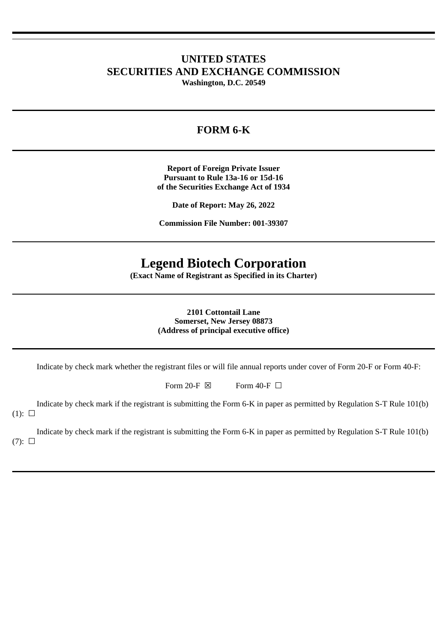# **UNITED STATES SECURITIES AND EXCHANGE COMMISSION**

**Washington, D.C. 20549**

# **FORM 6-K**

**Report of Foreign Private Issuer Pursuant to Rule 13a-16 or 15d-16 of the Securities Exchange Act of 1934**

**Date of Report: May 26, 2022**

**Commission File Number: 001-39307**

# **Legend Biotech Corporation**

**(Exact Name of Registrant as Specified in its Charter)**

**2101 Cottontail Lane Somerset, New Jersey 08873 (Address of principal executive office)**

Indicate by check mark whether the registrant files or will file annual reports under cover of Form 20-F or Form 40-F:

Form 20-F  $\boxtimes$  Form 40-F  $\Box$ 

Indicate by check mark if the registrant is submitting the Form 6-K in paper as permitted by Regulation S-T Rule 101(b)  $(1): \Box$ 

Indicate by check mark if the registrant is submitting the Form 6-K in paper as permitted by Regulation S-T Rule 101(b)  $(7): \Box$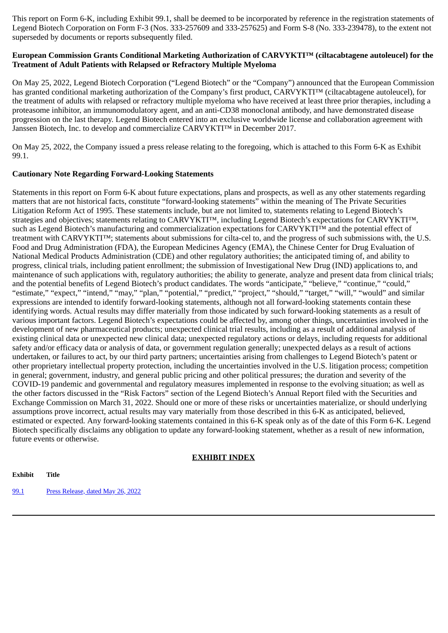This report on Form 6-K, including Exhibit 99.1, shall be deemed to be incorporated by reference in the registration statements of Legend Biotech Corporation on Form F-3 (Nos. 333-257609 and 333-257625) and Form S-8 (No. 333-239478), to the extent not superseded by documents or reports subsequently filed.

#### **European Commission Grants Conditional Marketing Authorization of CARVYKTI™ (ciltacabtagene autoleucel) for the Treatment of Adult Patients with Relapsed or Refractory Multiple Myeloma**

On May 25, 2022, Legend Biotech Corporation ("Legend Biotech" or the "Company") announced that the European Commission has granted conditional marketing authorization of the Company's first product, CARVYKTI™ (ciltacabtagene autoleucel), for the treatment of adults with relapsed or refractory multiple myeloma who have received at least three prior therapies, including a proteasome inhibitor, an immunomodulatory agent, and an anti-CD38 monoclonal antibody, and have demonstrated disease progression on the last therapy. Legend Biotech entered into an exclusive worldwide license and collaboration agreement with Janssen Biotech, Inc. to develop and commercialize CARVYKTI™ in December 2017.

On May 25, 2022, the Company issued a press release relating to the foregoing, which is attached to this Form 6-K as Exhibit 99.1.

#### **Cautionary Note Regarding Forward-Looking Statements**

Statements in this report on Form 6-K about future expectations, plans and prospects, as well as any other statements regarding matters that are not historical facts, constitute "forward-looking statements" within the meaning of The Private Securities Litigation Reform Act of 1995. These statements include, but are not limited to, statements relating to Legend Biotech's strategies and objectives; statements relating to CARVYKTI™, including Legend Biotech's expectations for CARVYKTI™, such as Legend Biotech's manufacturing and commercialization expectations for CARVYKTI™ and the potential effect of treatment with CARVYKTI™; statements about submissions for cilta-cel to, and the progress of such submissions with, the U.S. Food and Drug Administration (FDA), the European Medicines Agency (EMA), the Chinese Center for Drug Evaluation of National Medical Products Administration (CDE) and other regulatory authorities; the anticipated timing of, and ability to progress, clinical trials, including patient enrollment; the submission of Investigational New Drug (IND) applications to, and maintenance of such applications with, regulatory authorities; the ability to generate, analyze and present data from clinical trials; and the potential benefits of Legend Biotech's product candidates. The words "anticipate," "believe," "continue," "could," "estimate," "expect," "intend," "may," "plan," "potential," "predict," "project," "should," "target," "will," "would" and similar expressions are intended to identify forward-looking statements, although not all forward-looking statements contain these identifying words. Actual results may differ materially from those indicated by such forward-looking statements as a result of various important factors. Legend Biotech's expectations could be affected by, among other things, uncertainties involved in the development of new pharmaceutical products; unexpected clinical trial results, including as a result of additional analysis of existing clinical data or unexpected new clinical data; unexpected regulatory actions or delays, including requests for additional safety and/or efficacy data or analysis of data, or government regulation generally; unexpected delays as a result of actions undertaken, or failures to act, by our third party partners; uncertainties arising from challenges to Legend Biotech's patent or other proprietary intellectual property protection, including the uncertainties involved in the U.S. litigation process; competition in general; government, industry, and general public pricing and other political pressures; the duration and severity of the COVID-19 pandemic and governmental and regulatory measures implemented in response to the evolving situation; as well as the other factors discussed in the "Risk Factors" section of the Legend Biotech's Annual Report filed with the Securities and Exchange Commission on March 31, 2022. Should one or more of these risks or uncertainties materialize, or should underlying assumptions prove incorrect, actual results may vary materially from those described in this 6-K as anticipated, believed, estimated or expected. Any forward-looking statements contained in this 6-K speak only as of the date of this Form 6-K. Legend Biotech specifically disclaims any obligation to update any forward-looking statement, whether as a result of new information, future events or otherwise.

### **EXHIBIT INDEX**

**Exhibit Title**

[99.1](#page-3-0) Press [Release,](#page-3-0) dated May 26, 2022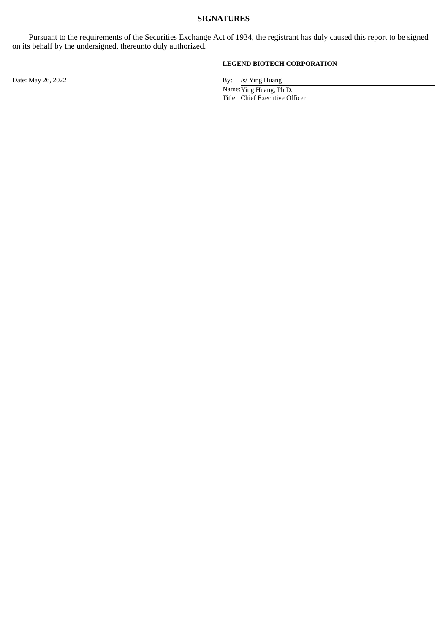#### **SIGNATURES**

Pursuant to the requirements of the Securities Exchange Act of 1934, the registrant has duly caused this report to be signed on its behalf by the undersigned, thereunto duly authorized.

#### **LEGEND BIOTECH CORPORATION**

Date: May 26, 2022 By: /s/ Ying Huang

Name:Ying Huang, Ph.D. Title: Chief Executive Officer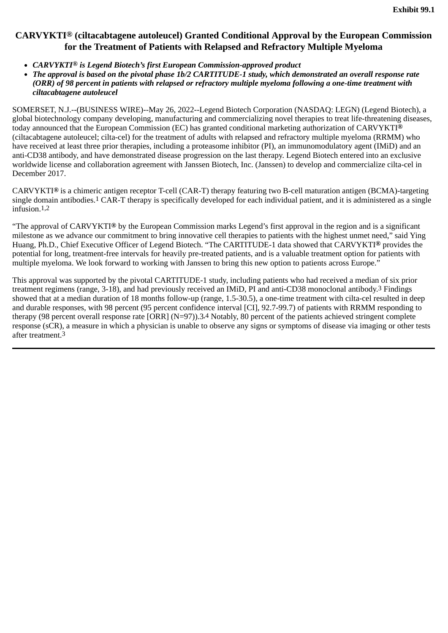## <span id="page-3-0"></span>**CARVYKTI® (ciltacabtagene autoleucel) Granted Conditional Approval by the European Commission for the Treatment of Patients with Relapsed and Refractory Multiple Myeloma**

- *CARVYKTI***®** *is Legend Biotech's first European Commission-approved product*
- *The approval is based on the pivotal phase 1b/2 CARTITUDE-1 study, which demonstrated an overall response rate (ORR) of 98 percent in patients with relapsed or refractory multiple myeloma following a one-time treatment with ciltacabtagene autoleucel*

SOMERSET, N.J.--(BUSINESS WIRE)--May 26, 2022--Legend Biotech Corporation (NASDAQ: LEGN) (Legend Biotech), a global biotechnology company developing, manufacturing and commercializing novel therapies to treat life-threatening diseases, today announced that the European Commission (EC) has granted conditional marketing authorization of CARVYKTI**®** (ciltacabtagene autoleucel; cilta-cel) for the treatment of adults with relapsed and refractory multiple myeloma (RRMM) who have received at least three prior therapies, including a proteasome inhibitor (PI), an immunomodulatory agent (IMiD) and an anti-CD38 antibody, and have demonstrated disease progression on the last therapy. Legend Biotech entered into an exclusive worldwide license and collaboration agreement with Janssen Biotech, Inc. (Janssen) to develop and commercialize cilta-cel in December 2017.

CARVYKTI**®** is a chimeric antigen receptor T-cell (CAR-T) therapy featuring two B-cell maturation antigen (BCMA)-targeting single domain antibodies.1 CAR-T therapy is specifically developed for each individual patient, and it is administered as a single infusion.1,2

"The approval of CARVYKTI**®** by the European Commission marks Legend's first approval in the region and is a significant milestone as we advance our commitment to bring innovative cell therapies to patients with the highest unmet need," said Ying Huang, Ph.D., Chief Executive Officer of Legend Biotech. "The CARTITUDE-1 data showed that CARVYKTI**®** provides the potential for long, treatment-free intervals for heavily pre-treated patients, and is a valuable treatment option for patients with multiple myeloma. We look forward to working with Janssen to bring this new option to patients across Europe."

This approval was supported by the pivotal CARTITUDE-1 study, including patients who had received a median of six prior treatment regimens (range, 3-18), and had previously received an IMiD, PI and anti-CD38 monoclonal antibody.3 Findings showed that at a median duration of 18 months follow-up (range, 1.5-30.5), a one-time treatment with cilta-cel resulted in deep and durable responses, with 98 percent (95 percent confidence interval [CI], 92.7-99.7) of patients with RRMM responding to therapy (98 percent overall response rate [ORR] (N=97)).3,4 Notably, 80 percent of the patients achieved stringent complete response (sCR), a measure in which a physician is unable to observe any signs or symptoms of disease via imaging or other tests after treatment.3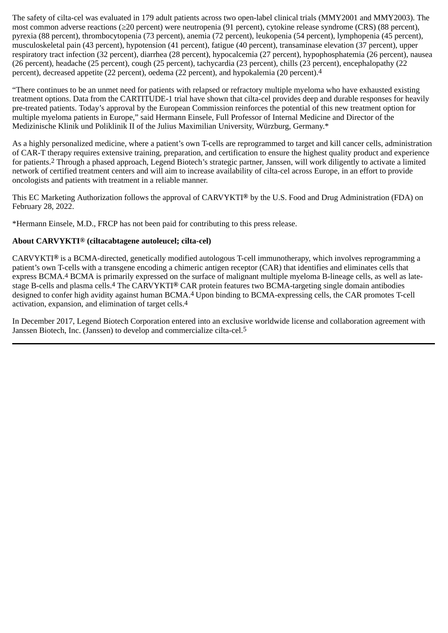The safety of cilta-cel was evaluated in 179 adult patients across two open-label clinical trials (MMY2001 and MMY2003). The most common adverse reactions (≥20 percent) were neutropenia (91 percent), cytokine release syndrome (CRS) (88 percent), pyrexia (88 percent), thrombocytopenia (73 percent), anemia (72 percent), leukopenia (54 percent), lymphopenia (45 percent), musculoskeletal pain (43 percent), hypotension (41 percent), fatigue (40 percent), transaminase elevation (37 percent), upper respiratory tract infection (32 percent), diarrhea (28 percent), hypocalcemia (27 percent), hypophosphatemia (26 percent), nausea (26 percent), headache (25 percent), cough (25 percent), tachycardia (23 percent), chills (23 percent), encephalopathy (22 percent), decreased appetite (22 percent), oedema (22 percent), and hypokalemia (20 percent).4

"There continues to be an unmet need for patients with relapsed or refractory multiple myeloma who have exhausted existing treatment options. Data from the CARTITUDE-1 trial have shown that cilta-cel provides deep and durable responses for heavily pre-treated patients. Today's approval by the European Commission reinforces the potential of this new treatment option for multiple myeloma patients in Europe," said Hermann Einsele, Full Professor of Internal Medicine and Director of the Medizinische Klinik und Poliklinik II of the Julius Maximilian University, Würzburg, Germany.\*

As a highly personalized medicine, where a patient's own T-cells are reprogrammed to target and kill cancer cells, administration of CAR-T therapy requires extensive training, preparation, and certification to ensure the highest quality product and experience for patients.2 Through a phased approach, Legend Biotech's strategic partner, Janssen, will work diligently to activate a limited network of certified treatment centers and will aim to increase availability of cilta-cel across Europe, in an effort to provide oncologists and patients with treatment in a reliable manner.

This EC Marketing Authorization follows the approval of CARVYKTI**®** by the U.S. Food and Drug Administration (FDA) on February 28, 2022.

\*Hermann Einsele, M.D., FRCP has not been paid for contributing to this press release.

#### **About CARVYKTI® (ciltacabtagene autoleucel; cilta-cel)**

CARVYKTI**®** is a BCMA-directed, genetically modified autologous T-cell immunotherapy, which involves reprogramming a patient's own T-cells with a transgene encoding a chimeric antigen receptor (CAR) that identifies and eliminates cells that express BCMA.4 BCMA is primarily expressed on the surface of malignant multiple myeloma B-lineage cells, as well as latestage B-cells and plasma cells.4 The CARVYKTI**®** CAR protein features two BCMA-targeting single domain antibodies designed to confer high avidity against human BCMA.4 Upon binding to BCMA-expressing cells, the CAR promotes T-cell activation, expansion, and elimination of target cells.4

In December 2017, Legend Biotech Corporation entered into an exclusive worldwide license and collaboration agreement with Janssen Biotech, Inc. (Janssen) to develop and commercialize cilta-cel.5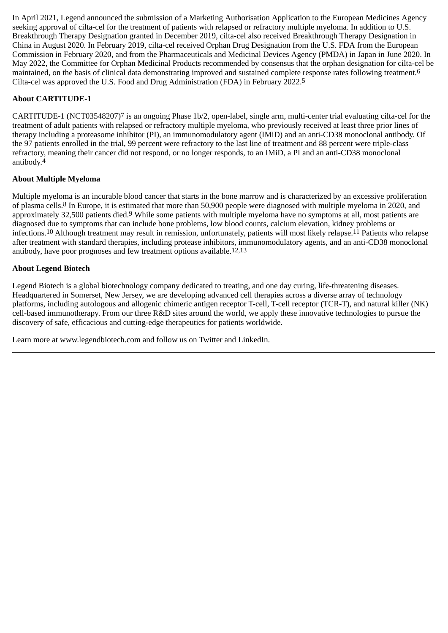In April 2021, Legend announced the submission of a Marketing Authorisation Application to the European Medicines Agency seeking approval of cilta-cel for the treatment of patients with relapsed or refractory multiple myeloma. In addition to U.S. Breakthrough Therapy Designation granted in December 2019, cilta-cel also received Breakthrough Therapy Designation in China in August 2020. In February 2019, cilta-cel received Orphan Drug Designation from the U.S. FDA from the European Commission in February 2020, and from the Pharmaceuticals and Medicinal Devices Agency (PMDA) in Japan in June 2020. In May 2022, the Committee for Orphan Medicinal Products recommended by consensus that the orphan designation for cilta-cel be maintained, on the basis of clinical data demonstrating improved and sustained complete response rates following treatment.6 Cilta-cel was approved the U.S. Food and Drug Administration (FDA) in February 2022.5

## **About CARTITUDE-1**

 $CARTITUDE-1$  (NCT03548207)<sup>7</sup> is an ongoing Phase 1b/2, open-label, single arm, multi-center trial evaluating cilta-cel for the treatment of adult patients with relapsed or refractory multiple myeloma, who previously received at least three prior lines of therapy including a proteasome inhibitor (PI), an immunomodulatory agent (IMiD) and an anti-CD38 monoclonal antibody. Of the 97 patients enrolled in the trial, 99 percent were refractory to the last line of treatment and 88 percent were triple-class refractory, meaning their cancer did not respond, or no longer responds, to an IMiD, a PI and an anti-CD38 monoclonal antibody.4

### **About Multiple Myeloma**

Multiple myeloma is an incurable blood cancer that starts in the bone marrow and is characterized by an excessive proliferation of plasma cells.8 In Europe, it is estimated that more than 50,900 people were diagnosed with multiple myeloma in 2020, and approximately 32,500 patients died.9 While some patients with multiple myeloma have no symptoms at all, most patients are diagnosed due to symptoms that can include bone problems, low blood counts, calcium elevation, kidney problems or infections.10 Although treatment may result in remission, unfortunately, patients will most likely relapse.11 Patients who relapse after treatment with standard therapies, including protease inhibitors, immunomodulatory agents, and an anti-CD38 monoclonal antibody, have poor prognoses and few treatment options available.12,13

#### **About Legend Biotech**

Legend Biotech is a global biotechnology company dedicated to treating, and one day curing, life-threatening diseases. Headquartered in Somerset, New Jersey, we are developing advanced cell therapies across a diverse array of technology platforms, including autologous and allogenic chimeric antigen receptor T-cell, T-cell receptor (TCR-T), and natural killer (NK) cell-based immunotherapy. From our three R&D sites around the world, we apply these innovative technologies to pursue the discovery of safe, efficacious and cutting-edge therapeutics for patients worldwide.

Learn more at www.legendbiotech.com and follow us on Twitter and LinkedIn.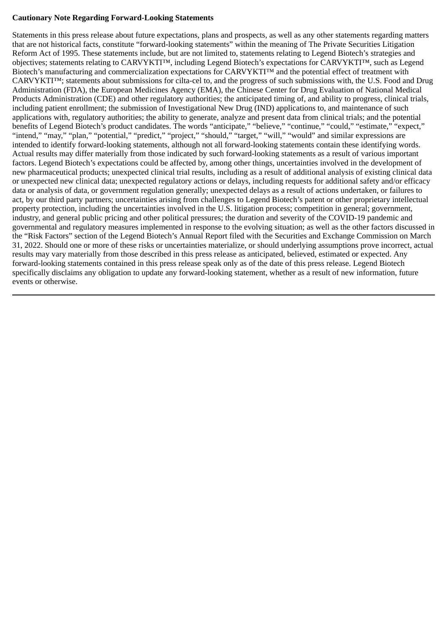#### **Cautionary Note Regarding Forward-Looking Statements**

Statements in this press release about future expectations, plans and prospects, as well as any other statements regarding matters that are not historical facts, constitute "forward-looking statements" within the meaning of The Private Securities Litigation Reform Act of 1995. These statements include, but are not limited to, statements relating to Legend Biotech's strategies and objectives; statements relating to CARVYKTI™, including Legend Biotech's expectations for CARVYKTI™, such as Legend Biotech's manufacturing and commercialization expectations for CARVYKTI™ and the potential effect of treatment with CARVYKTI™; statements about submissions for cilta-cel to, and the progress of such submissions with, the U.S. Food and Drug Administration (FDA), the European Medicines Agency (EMA), the Chinese Center for Drug Evaluation of National Medical Products Administration (CDE) and other regulatory authorities; the anticipated timing of, and ability to progress, clinical trials, including patient enrollment; the submission of Investigational New Drug (IND) applications to, and maintenance of such applications with, regulatory authorities; the ability to generate, analyze and present data from clinical trials; and the potential benefits of Legend Biotech's product candidates. The words "anticipate," "believe," "continue," "could," "estimate," "expect," "intend," "may," "plan," "potential," "predict," "project," "should," "target," "will," "would" and similar expressions are intended to identify forward-looking statements, although not all forward-looking statements contain these identifying words. Actual results may differ materially from those indicated by such forward-looking statements as a result of various important factors. Legend Biotech's expectations could be affected by, among other things, uncertainties involved in the development of new pharmaceutical products; unexpected clinical trial results, including as a result of additional analysis of existing clinical data or unexpected new clinical data; unexpected regulatory actions or delays, including requests for additional safety and/or efficacy data or analysis of data, or government regulation generally; unexpected delays as a result of actions undertaken, or failures to act, by our third party partners; uncertainties arising from challenges to Legend Biotech's patent or other proprietary intellectual property protection, including the uncertainties involved in the U.S. litigation process; competition in general; government, industry, and general public pricing and other political pressures; the duration and severity of the COVID-19 pandemic and governmental and regulatory measures implemented in response to the evolving situation; as well as the other factors discussed in the "Risk Factors" section of the Legend Biotech's Annual Report filed with the Securities and Exchange Commission on March 31, 2022. Should one or more of these risks or uncertainties materialize, or should underlying assumptions prove incorrect, actual results may vary materially from those described in this press release as anticipated, believed, estimated or expected.Any forward-looking statements contained in this press release speak only as of the date of this press release. Legend Biotech specifically disclaims any obligation to update any forward-looking statement, whether as a result of new information, future events or otherwise.